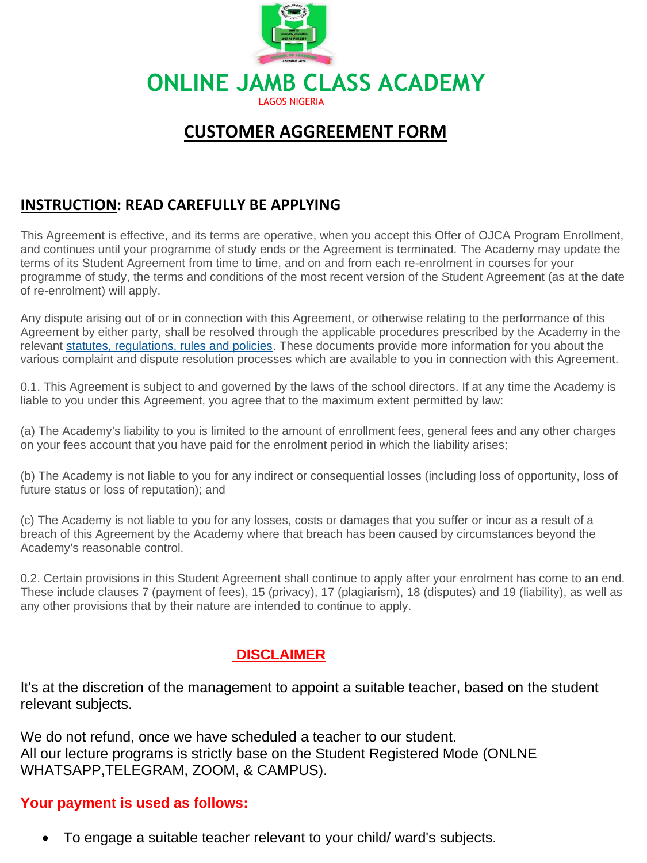

# **CUSTOMER AGGREEMENT FORM**

# **INSTRUCTION: READ CAREFULLY BE APPLYING**

This Agreement is effective, and its terms are operative, when you accept this Offer of OJCA Program Enrollment, and continues until your programme of study ends or the Agreement is terminated. The Academy may update the terms of its Student Agreement from time to time, and on and from each re-enrolment in courses for your programme of study, the terms and conditions of the most recent version of the Student Agreement (as at the date of re-enrolment) will apply.

Any dispute arising out of or in connection with this Agreement, or otherwise relating to the performance of this Agreement by either party, shall be resolved through the applicable procedures prescribed by the Academy in the relevant statutes, regulations, rules and policies. These documents provide more information for you about the various complaint and dispute resolution processes which are available to you in connection with this Agreement.

0.1. This Agreement is subject to and governed by the laws of the school directors. If at any time the Academy is liable to you under this Agreement, you agree that to the maximum extent permitted by law:

(a) The Academy's liability to you is limited to the amount of enrollment fees, general fees and any other charges on your fees account that you have paid for the enrolment period in which the liability arises;

(b) The Academy is not liable to you for any indirect or consequential losses (including loss of opportunity, loss of future status or loss of reputation); and

(c) The Academy is not liable to you for any losses, costs or damages that you suffer or incur as a result of a breach of this Agreement by the Academy where that breach has been caused by circumstances beyond the Academy's reasonable control.

0.2. Certain provisions in this Student Agreement shall continue to apply after your enrolment has come to an end. These include clauses 7 (payment of fees), 15 (privacy), 17 (plagiarism), 18 (disputes) and 19 (liability), as well as any other provisions that by their nature are intended to continue to apply.

# **DISCLAIMER**

It's at the discretion of the management to appoint a suitable teacher, based on the student relevant subjects.

We do not refund, once we have scheduled a teacher to our student. All our lecture programs is strictly base on the Student Registered Mode (ONLNE WHATSAPP,TELEGRAM, ZOOM, & CAMPUS).

## **Your payment is used as follows:**

• To engage a suitable teacher relevant to your child/ ward's subjects.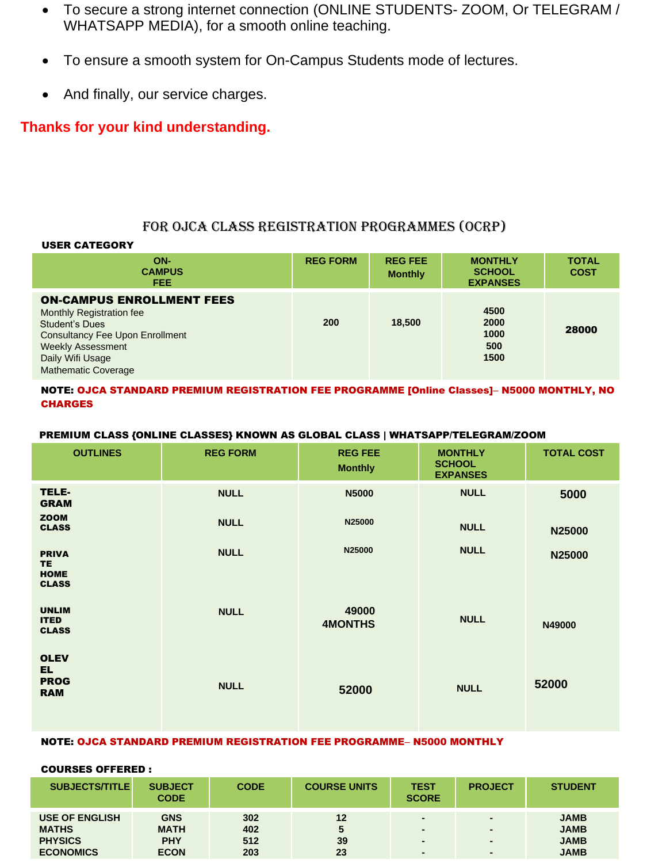- To secure a strong internet connection (ONLINE STUDENTS- ZOOM, Or TELEGRAM / WHATSAPP MEDIA), for a smooth online teaching.
- To ensure a smooth system for On-Campus Students mode of lectures.
- And finally, our service charges.

## **Thanks for your kind understanding.**

### FOR OJCA CLASS REGISTRATION PROGRAMMES (OCRP)

#### USER CATEGORY

| ON-<br><b>CAMPUS</b><br><b>FEE</b>                                                                                                                                                                     | <b>REG FORM</b> | <b>REG FEE</b><br><b>Monthly</b> | <b>MONTHLY</b><br><b>SCHOOL</b><br><b>EXPANSES</b> | <b>TOTAL</b><br><b>COST</b> |
|--------------------------------------------------------------------------------------------------------------------------------------------------------------------------------------------------------|-----------------|----------------------------------|----------------------------------------------------|-----------------------------|
| <b>ON-CAMPUS ENROLLMENT FEES</b><br>Monthly Registration fee<br>Student's Dues<br><b>Consultancy Fee Upon Enrollment</b><br><b>Weekly Assessment</b><br>Daily Wifi Usage<br><b>Mathematic Coverage</b> | 200             | 18,500                           | 4500<br>2000<br>1000<br>500<br>1500                | 28000                       |

### NOTE: OJCA STANDARD PREMIUM REGISTRATION FEE PROGRAMME [Online Classes]– N5000 MONTHLY, NO **CHARGES**

#### PREMIUM CLASS {ONLINE CLASSES} KNOWN AS GLOBAL CLASS | WHATSAPP/TELEGRAM/ZOOM

| <b>OUTLINES</b>                                 | <b>REG FORM</b> | <b>REG FEE</b><br><b>Monthly</b> | <b>MONTHLY</b><br><b>SCHOOL</b><br><b>EXPANSES</b> | <b>TOTAL COST</b> |
|-------------------------------------------------|-----------------|----------------------------------|----------------------------------------------------|-------------------|
| TELE-<br><b>GRAM</b>                            | <b>NULL</b>     | <b>N5000</b>                     | <b>NULL</b>                                        | 5000              |
| <b>ZOOM</b><br><b>CLASS</b>                     | <b>NULL</b>     | N25000                           | <b>NULL</b>                                        | N25000            |
| <b>PRIVA</b><br><b>TE</b>                       | <b>NULL</b>     | N25000                           | <b>NULL</b>                                        | N25000            |
| <b>HOME</b><br><b>CLASS</b>                     |                 |                                  |                                                    |                   |
| <b>UNLIM</b><br><b>ITED</b><br><b>CLASS</b>     | <b>NULL</b>     | 49000<br><b>4MONTHS</b>          | <b>NULL</b>                                        | N49000            |
| <b>OLEV</b><br>EL.<br><b>PROG</b><br><b>RAM</b> | <b>NULL</b>     | 52000                            | <b>NULL</b>                                        | 52000             |

### NOTE: OJCA STANDARD PREMIUM REGISTRATION FEE PROGRAMME– N5000 MONTHLY

#### COURSES OFFERED :

| <b>SUBJECTS/TITLE</b>                                   | <b>SUBJECT</b><br><b>CODE</b>           | <b>CODE</b>       | <b>COURSE UNITS</b> | <b>TEST</b><br><b>SCORE</b>                                            | <b>PROJECT</b> | <b>STUDENT</b>                            |
|---------------------------------------------------------|-----------------------------------------|-------------------|---------------------|------------------------------------------------------------------------|----------------|-------------------------------------------|
| <b>USE OF ENGLISH</b><br><b>MATHS</b><br><b>PHYSICS</b> | <b>GNS</b><br><b>MATH</b><br><b>PHY</b> | 302<br>402<br>512 | 12<br>39            | $\overline{\phantom{a}}$<br>$\overline{\phantom{a}}$<br>$\blacksquare$ |                | <b>JAMB</b><br><b>JAMB</b><br><b>JAMB</b> |
| <b>ECONOMICS</b>                                        | <b>ECON</b>                             | 203               | 23                  | $\overline{\phantom{a}}$                                               |                | <b>JAMB</b>                               |